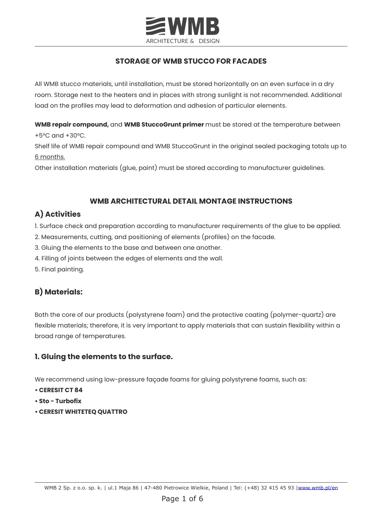

## **STORAGE OF WMB STUCCO FOR FACADES**

All WMB stucco materials, until installation, must be stored horizontally on an even surface in a dry room. Storage next to the heaters and in places with strong sunlight is not recommended. Additional load on the profiles may lead to deformation and adhesion of particular elements.

**WMB repair compound,** and **WMB StuccoGrunt primer** must be stored at the temperature between +5°C and +30°C.

Shelf life of WMB repair compound and WMB StuccoGrunt in the original sealed packaging totals up to 6 months.

Other installation materials (glue, paint) must be stored according to manufacturer guidelines.

### **WMB ARCHITECTURAL DETAIL MONTAGE INSTRUCTIONS**

## **A) Activities**

- 1. Surface check and preparation according to manufacturer requirements of the glue to be applied.
- 2. Measurements, cutting, and positioning of elements (profiles) on the facade.
- 3. Gluing the elements to the base and between one another.
- 4. Filling of joints between the edges of elements and the wall.
- 5. Final painting.

# **B) Materials:**

Both the core of our products (polystyrene foam) and the protective coating (polymer-quartz) are flexible materials; therefore, it is very important to apply materials that can sustain flexibility within a broad range of temperatures.

## **1. Gluing the elements to the surface.**

We recommend using low-pressure façade foams for gluing polystyrene foams, such as:

- **CERESIT CT 84**
- **Sto Turbofix**
- **CERESIT WHITETEQ QUATTRO**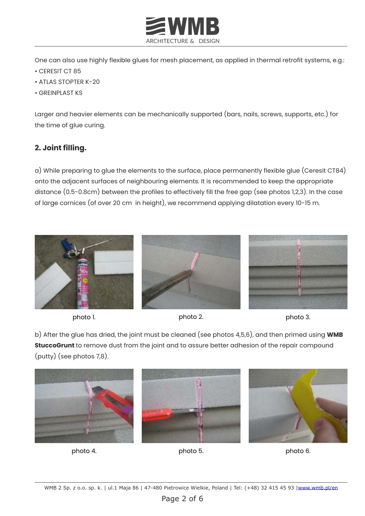

One can also use highly flexible glues for mesh placement, as applied in thermal retrofit systems, e.g.:

- CERESIT CT 85
- ATLAS STOPTER K-20
- GREINPLAST KS

Larger and heavier elements can be mechanically supported (bars, nails, screws, supports, etc.) for the time of glue curing.

## **2. Joint filling.**

a) While preparing to glue the elements to the surface, place permanently flexible glue (Ceresit CT84) onto the adjacent surfaces of neighbouring elements. It is recommended to keep the appropriate distance (0.5-0.8cm) between the profiles to effectively fill the free gap (see photos 1,2,3). In the case of large cornices (of over 20 cm in height), we recommend applying dilatation every 10-15 m.







b) After the glue has dried, the joint must be cleaned (see photos 4,5,6), and then primed using **WMB StuccoGrunt** to remove dust from the joint and to assure better adhesion of the repair compound (putty) (see photos 7,8).



photo 4. photo 5. photo 5.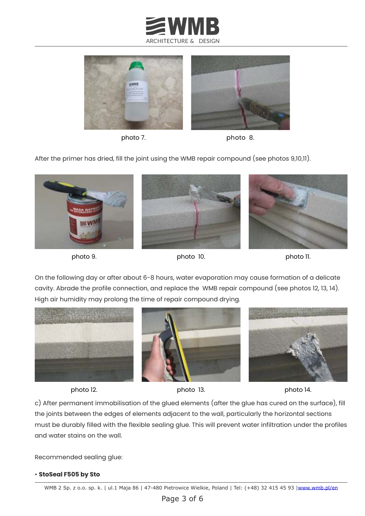



photo 7. photo 8.

After the primer has dried, fill the joint using the WMB repair compound (see photos 9,10,11).



photo 9.



On the following day or after about 6-8 hours, water evaporation may cause formation of a delicate cavity. Abrade the profile connection, and replace the WMB repair compound (see photos 12, 13, 14). High air humidity may prolong the time of repair compound drying.





photo 12. photo 13. photo 14.

c) After permanent immobilisation of the glued elements (after the glue has cured on the surface), fill the joints between the edges of elements adjacent to the wall, particularly the horizontal sections must be durably filled with the flexible sealing glue. This will prevent water infiltration under the profiles and water stains on the wall.

Recommended sealing glue:

#### • **StoSeal F505 by Sto**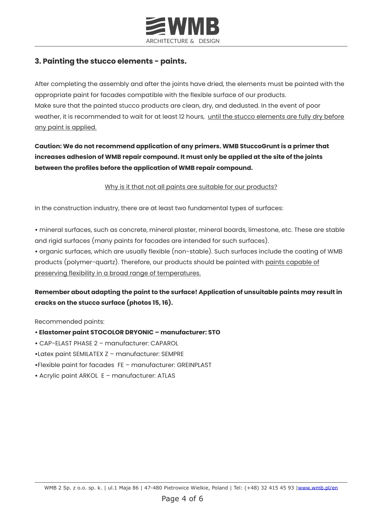

## **3. Painting the stucco elements - paints.**

After completing the assembly and after the joints have dried, the elements must be painted with the appropriate paint for facades compatible with the flexible surface of our products. Make sure that the painted stucco products are clean, dry, and dedusted. In the event of poor weather, it is recommended to wait for at least 12 hours, until the stucco elements are fully dry before any paint is applied.

## **Caution: We do not recommend application of any primers. WMB StuccoGrunt is a primer that increases adhesion of WMB repair compound. It must only be applied at the site of the joints between the profiles before the application of WMB repair compound.**

#### Why is it that not all paints are suitable for our products?

In the construction industry, there are at least two fundamental types of surfaces:

**•** mineral surfaces, such as concrete, mineral plaster, mineral boards, limestone, etc. These are stable and rigid surfaces (many paints for facades are intended for such surfaces).

**•** organic surfaces, which are usually flexible (non-stable). Such surfaces include the coating of WMB products (polymer-quartz). Therefore, our products should be painted with paints capable of preserving flexibility in a broad range of temperatures.

## **Remember about adapting the paint to the surface! Application of unsuitable paints may result in cracks on the stucco surface (photos 15, 16).**

Recommended paints:

- **• Elastomer paint STOCOLOR DRYONIC manufacturer: STO**
- **•** CAP-ELAST PHASE 2 manufacturer: CAPAROL
- **•**Latex paint SEMILATEX Z manufacturer: SEMPRE
- **•**Flexible paint for facades FE manufacturer: GREINPLAST
- **•** Acrylic paint ARKOL E manufacturer: ATLAS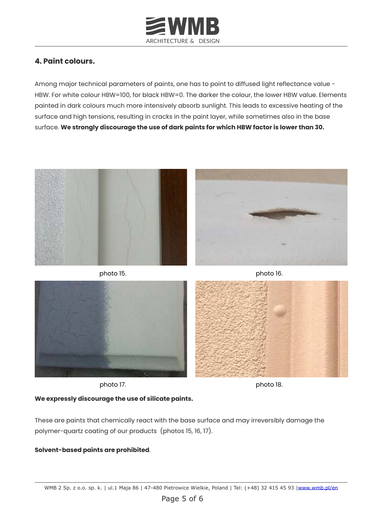

## **4. Paint colours.**

Among major technical parameters of paints, one has to point to diffused light reflectance value -HBW. For white colour HBW=100, for black HBW=0. The darker the colour, the lower HBW value. Elements painted in dark colours much more intensively absorb sunlight. This leads to excessive heating of the surface and high tensions, resulting in cracks in the paint layer, while sometimes also in the base surface. **We strongly discourage the use of dark paints for which HBW factor is lower than 30.**





photo 15.

photo 16.



photo 17. block and the photo 18.

### **We expressly discourage the use of silicate paints.**

These are paints that chemically react with the base surface and may irreversibly damage the polymer-quartz coating of our products (photos 15, 16, 17).

### **Solvent-based paints are prohibited**.